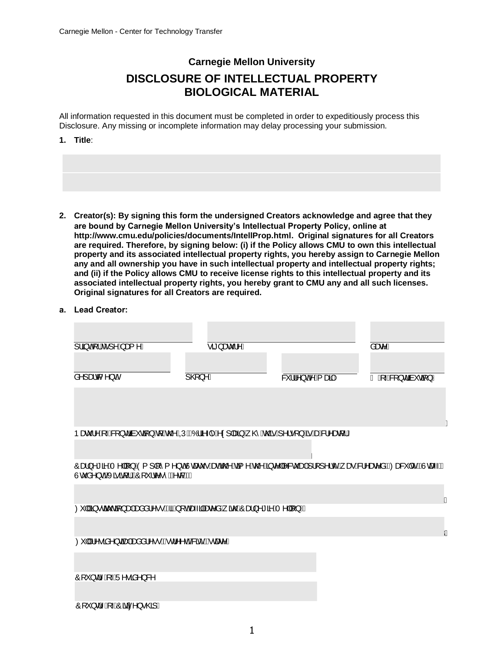# **Carnegie Mellon University DISCLOSURE OF INTELLECTUAL PROPERTY BIOLOGICAL MATERIAL**

All information requested in this document must be completed in order to expeditiously process this Disclosure. Any missing or incomplete information may delay processing your submission.

**1. Title**:

**are bound by Carnegie Mellon University's Intellectual Property Policy, online at http://www.cmu.edu/policies/documents/IntellProp.html. Original signatures for all Creators are required. Therefore, by signing below: (i) if the Policy allows CMU to own this intellectual property and its associated intellectual property rights, you hereby assign to Carnegie Mellon any and all ownership you have in such intellectual property and intellectual property rights; and (ii) if the Policy allows CMU to receive license rights to this intellectual property and its associated intellectual property rights, you hereby grant to CMU any and all such licenses. Original signatures for all Creators are required. 2. Creator(s): By signing this form the undersigned Creators acknowledge and agree that they**

#### **a. Lead Creator:**

| ]¦ãjon[¦Ácî]^Ájæ{^Á                                                                                                                                  | ∙ãi}æcĭ¦^Á        |                  | åæz^Á                                                                                     |
|------------------------------------------------------------------------------------------------------------------------------------------------------|-------------------|------------------|-------------------------------------------------------------------------------------------|
|                                                                                                                                                      |                   |                  |                                                                                           |
| $a^{\wedge}$ ] æd $\wedge$ } o Á                                                                                                                     | $\mathbb{Q}$ } ^A | & li^}o A E aa A | $\overline{A}$ $\overline{A}$ $\overline{A}$ $\overline{B}$ $\}$ dan $\check{a}$ $\}$ $A$ |
|                                                                                                                                                      |                   |                  |                                                                                           |
|                                                                                                                                                      |                   |                  |                                                                                           |
|                                                                                                                                                      |                   |                  |                                                                                           |
| Þæč¦^Á{~ÁS{}dān`cā{}Á{Ác@^ÁQÚÁQÓ¦ã^-{^Á^¢] æã}Á, @`Ác@ĕÁ{^¦•[}ÁãrÁæÁS¦^æa{¦D                                                                         |                   |                  |                                                                                           |
|                                                                                                                                                      |                   |                  |                                                                                           |
| Ôæ}^*ā ÁT^  [}ÁÓ{] [^{^}cÁUcaeč • Áædó@Ázã{^Ác@Áz}c^  ^& čadÁj¦[]^¦c´Á ærÁsl^æc^åÁQCeascॅ c´ÉÀUcae-ÉÀ<br>Ù c å^} dễ Xã ã t¦ lễÔ   `¦ c^•^ ễ A c& È A |                   |                  |                                                                                           |
|                                                                                                                                                      |                   |                  | Á                                                                                         |
| $\varnothing$   Á§ •œã cã} an Ánanå a l^••Ála Á [oÁna-ajãnez^åÁ ão @ÁO and }^* a^Á T^  [}DÁ                                                          |                   |                  |                                                                                           |
|                                                                                                                                                      |                   |                  |                                                                                           |
|                                                                                                                                                      |                   |                  | Á                                                                                         |
| Ø'  Á^•ãå^}œã¤ Ásmåå¦^••Á§d^^dÉ&ãĉÊAcæ&D                                                                                                             |                   |                  |                                                                                           |
|                                                                                                                                                      |                   |                  |                                                                                           |
| $\hat{O}$   ' } d^ $\hat{A}$ $\hat{A}$ U^• $\hat{a}$ a^} &^                                                                                          |                   |                  |                                                                                           |
|                                                                                                                                                      |                   |                  |                                                                                           |

O[ˇ}dˆĄໂ ~AOãã ^}● @3]/ BBBBBBBBBBBBBBBBBBBBBBBBBBBBBBBBBBBBBBBBBBBBBBBBBBBB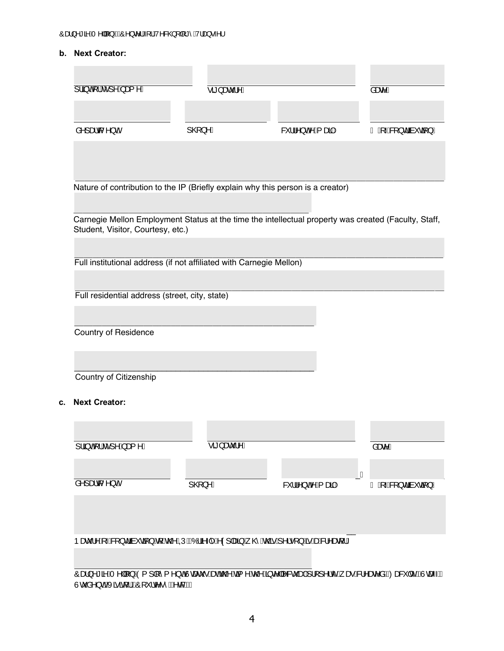## **b. Next Creator:**

| $\frac{1}{9}$ $\frac{3}{4}$ $\frac{1}{6}$ $\frac{1}{6}$ $\frac{1}{6}$ $\frac{1}{2}$ $\frac{1}{2}$ $\frac{1}{2}$ $\frac{1}{2}$ $\frac{1}{2}$ $\frac{1}{2}$ $\frac{1}{2}$ $\frac{1}{2}$ $\frac{1}{2}$ $\frac{1}{2}$ $\frac{1}{2}$ $\frac{1}{2}$ $\frac{1}{2}$ $\frac{1}{2}$ $\frac{1}{2}$ $\frac{1}{2}$ $\frac{1}{2}$ | $\overline{\bullet a}$ }æč¦^ $\overline{A}$ |                    | åæz^A             |
|---------------------------------------------------------------------------------------------------------------------------------------------------------------------------------------------------------------------------------------------------------------------------------------------------------------------|---------------------------------------------|--------------------|-------------------|
| å^] æd ( ^} oA                                                                                                                                                                                                                                                                                                      | $] @$ }^ $A$                                | & li^} o 4 Ej æã Á | ÃÁ,⊸4&[}dãà*cã[}Á |
|                                                                                                                                                                                                                                                                                                                     |                                             |                    |                   |
| Nature of contribution to the IP (Briefly explain why this person is a creator)                                                                                                                                                                                                                                     |                                             |                    |                   |
| Carnegie Mellon Employment Status at the time the intellectual property was created (Faculty, Staff,<br>Student, Visitor, Courtesy, etc.)                                                                                                                                                                           |                                             |                    |                   |
| Full institutional address (if not affiliated with Carnegie Mellon)                                                                                                                                                                                                                                                 |                                             |                    |                   |
|                                                                                                                                                                                                                                                                                                                     |                                             |                    |                   |
| Full residential address (street, city, state)                                                                                                                                                                                                                                                                      |                                             |                    |                   |

\_\_\_\_\_\_\_\_\_\_\_\_\_\_\_\_\_\_\_\_\_\_\_\_\_\_\_\_\_\_\_\_\_\_\_\_\_\_\_\_\_\_\_\_\_\_\_\_\_\_\_\_ Country of Residence

\_\_\_\_\_\_\_\_\_\_\_\_\_\_\_\_\_\_\_\_\_\_\_\_\_\_\_\_\_\_\_\_\_\_\_\_\_\_\_\_\_\_\_\_\_\_\_\_\_\_\_\_ Country of Citizenship

#### **c. Next Creator:**

| ]¦ãjon[¦ké]^Á,æ{^Á                                                         | ∙ãී}æcॅ¦^Á |                                        | åæe^Å                    |
|----------------------------------------------------------------------------|------------|----------------------------------------|--------------------------|
| $a^{\lambda}$ ] æd $\lambda$ } oA                                          | ] @}^Á     | & "   ^ } o <sup>4</sup> Q # { a a { A | Á<br>ÃÁ, Á& [} dãn ča[}Á |
|                                                                            |            |                                        |                          |
| Þæč¦^Á{~ÁS{}dān`cā{}Á{Ác@^ÁQÚÁQÓ¦ã^-{^Á^¢] æã}Á, @`Ác@sÁ^¦•[}ÁsÁæÁS¦^æa{¦D |            |                                        |                          |

Oæ}^\*āAT^||[}AO{]|[^{^}cAJcaeč•AsenAc@Asã{^Ac@A§c^||^&c`ae}A}|[]^|c^A}ae^&|\^ae^aAQCea&`|c`EAJcae~El Ucઁå^}dBXããq{¦B2O[ˇ¦c^∙ˆBA^d&BD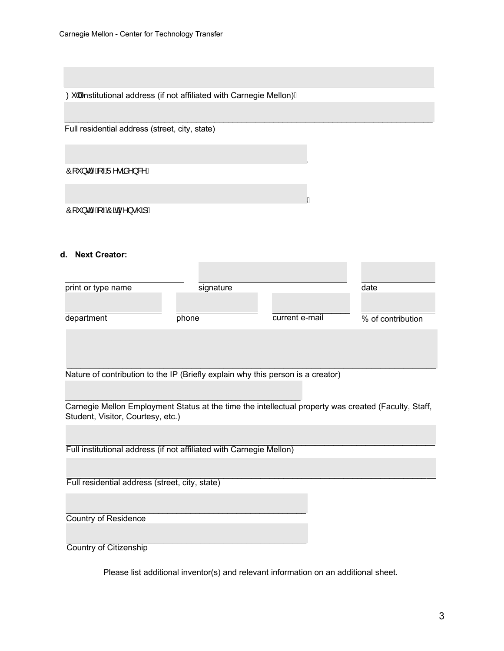$\varnothing$  ||Ánstitutional address (if not affiliated with Carnegie Mellon) $\acute{\textrm{A}}$ 

Full residential address (street, city, state)

O[`}d^Ą\-AJ^∙ãå^}&^*|* 

BBBBBBBBBBBBBBBBBBBBBBBBBBBBBBBBBBBBBBBBBBBBBBBBBBBBB O[ˇ}dˆĄ(⊸AOãã^}●@3]/

## **d. Next Creator:**

| print or type name                                                                                                                        | signature |                | date              |
|-------------------------------------------------------------------------------------------------------------------------------------------|-----------|----------------|-------------------|
|                                                                                                                                           |           |                |                   |
| department                                                                                                                                | phone     | current e-mail | % of contribution |
|                                                                                                                                           |           |                |                   |
|                                                                                                                                           |           |                |                   |
| Nature of contribution to the IP (Briefly explain why this person is a creator)                                                           |           |                |                   |
|                                                                                                                                           |           |                |                   |
| Carnegie Mellon Employment Status at the time the intellectual property was created (Faculty, Staff,<br>Student, Visitor, Courtesy, etc.) |           |                |                   |
|                                                                                                                                           |           |                |                   |
| Full institutional address (if not affiliated with Carnegie Mellon)                                                                       |           |                |                   |
|                                                                                                                                           |           |                |                   |
| Full residential address (street, city, state)                                                                                            |           |                |                   |
|                                                                                                                                           |           |                |                   |
| Country of Residence                                                                                                                      |           |                |                   |
|                                                                                                                                           |           |                |                   |
| <b>Country of Citizenship</b>                                                                                                             |           |                |                   |

\_\_\_\_\_\_\_\_\_\_\_\_\_\_\_\_\_\_\_\_\_\_\_\_\_\_\_\_\_\_\_\_\_\_\_\_\_\_\_\_\_\_\_\_\_\_\_\_\_\_\_\_\_\_\_\_\_\_\_\_\_\_\_\_\_\_\_\_\_\_\_\_\_\_\_\_\_\_\_\_\_

Please list additional inventor(s) and relevant information on an additional sheet.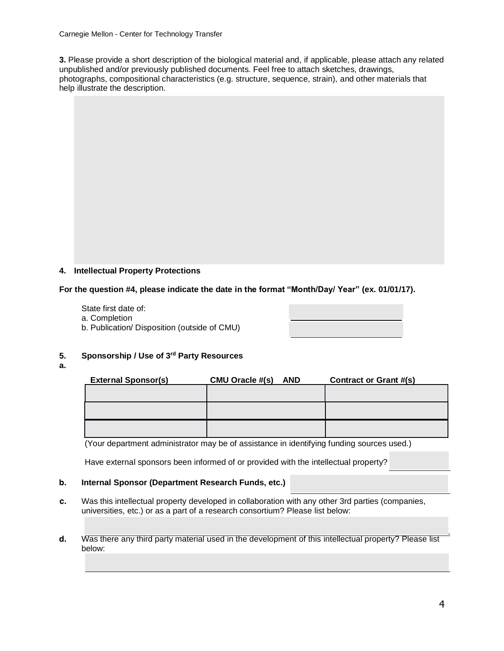Carnegie Mellon - Center for Technology Transfer

**3.** Please provide a short description of the biological material and, if applicable, please attach any related unpublished and/or previously published documents. Feel free to attach sketches, drawings, photographs, compositional characteristics (e.g. structure, sequence, strain), and other materials that help illustrate the description.

# **4. Intellectual Property Protections**

**For the question #4, please indicate the date in the format "Month/Day/ Year" (ex. 01/01/17).** 

State first date of:

- a. Completion
- b. Publication/ Disposition (outside of CMU)



## **5. Sponsorship / Use of 3rd Party Resources**

**a.**

| <b>External Sponsor(s)</b> | <b>CMU Oracle #(s)</b><br><b>AND</b> | Contract or Grant #(s) |
|----------------------------|--------------------------------------|------------------------|
|                            |                                      |                        |
|                            |                                      |                        |
|                            |                                      |                        |
|                            |                                      |                        |
|                            |                                      |                        |
|                            |                                      |                        |

(Your department administrator may be of assistance in identifying funding sources used.)

Have external sponsors been informed of or provided with the intellectual property?

#### **b.** Internal Sponsor (Department Research Funds, etc.)

- **c.** Was this intellectual property developed in collaboration with any other 3rd parties (companies, universities, etc.) or as a part of a research consortium? Please list below:
- **d.** Was there any third party material used in the development of this intellectual property? Please list below: